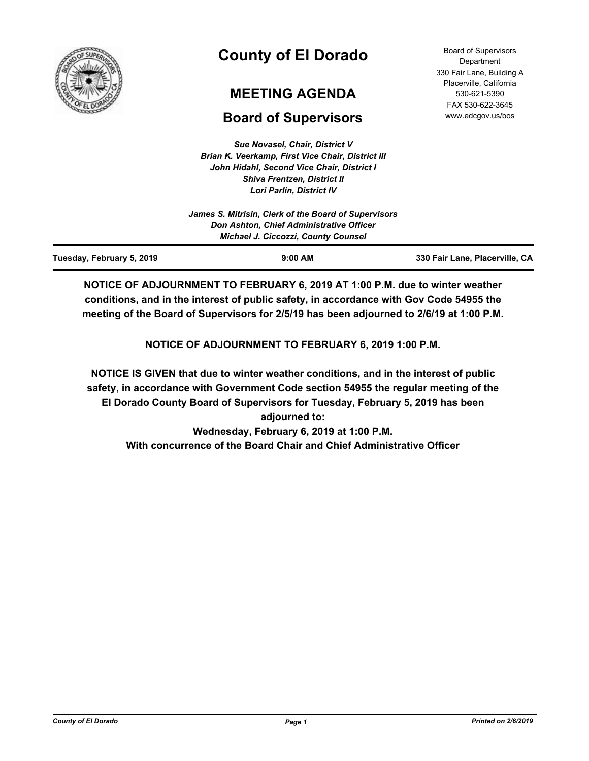

# **County of El Dorado**

## **MEETING AGENDA**

## **Board of Supervisors**

*Sue Novasel, Chair, District V Brian K. Veerkamp, First Vice Chair, District III John Hidahl, Second Vice Chair, District I Shiva Frentzen, District II Lori Parlin, District IV*

Board of Supervisors **Department** 330 Fair Lane, Building A Placerville, California 530-621-5390 FAX 530-622-3645 www.edcgov.us/bos

| <b>Michael J. Ciccozzi, County Counsel</b>           |  |
|------------------------------------------------------|--|
| Don Ashton, Chief Administrative Officer             |  |
| James S. Mitrisin, Clerk of the Board of Supervisors |  |
|                                                      |  |

**NOTICE OF ADJOURNMENT TO FEBRUARY 6, 2019 AT 1:00 P.M. due to winter weather conditions, and in the interest of public safety, in accordance with Gov Code 54955 the meeting of the Board of Supervisors for 2/5/19 has been adjourned to 2/6/19 at 1:00 P.M.**

**NOTICE OF ADJOURNMENT TO FEBRUARY 6, 2019 1:00 P.M.**

**NOTICE IS GIVEN that due to winter weather conditions, and in the interest of public safety, in accordance with Government Code section 54955 the regular meeting of the El Dorado County Board of Supervisors for Tuesday, February 5, 2019 has been adjourned to: Wednesday, February 6, 2019 at 1:00 P.M. With concurrence of the Board Chair and Chief Administrative Officer**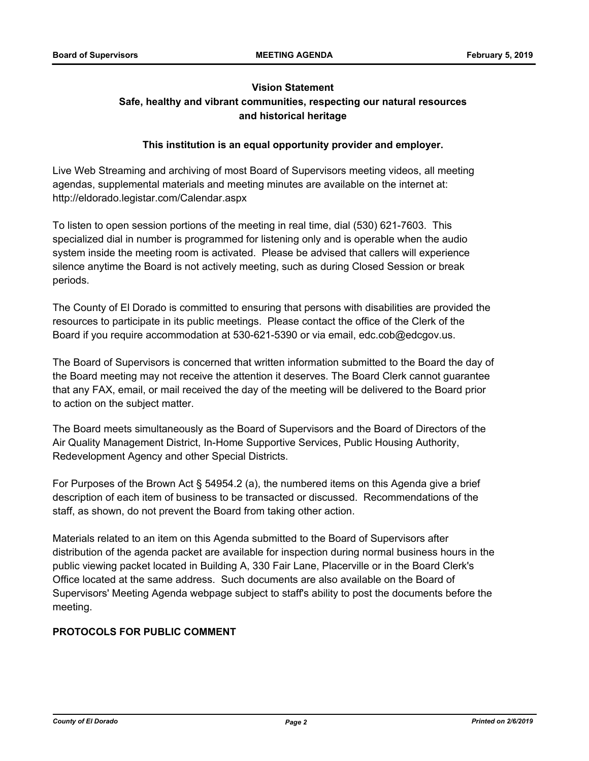## **Vision Statement Safe, healthy and vibrant communities, respecting our natural resources and historical heritage**

### **This institution is an equal opportunity provider and employer.**

Live Web Streaming and archiving of most Board of Supervisors meeting videos, all meeting agendas, supplemental materials and meeting minutes are available on the internet at: http://eldorado.legistar.com/Calendar.aspx

To listen to open session portions of the meeting in real time, dial (530) 621-7603. This specialized dial in number is programmed for listening only and is operable when the audio system inside the meeting room is activated. Please be advised that callers will experience silence anytime the Board is not actively meeting, such as during Closed Session or break periods.

The County of El Dorado is committed to ensuring that persons with disabilities are provided the resources to participate in its public meetings. Please contact the office of the Clerk of the Board if you require accommodation at 530-621-5390 or via email, edc.cob@edcgov.us.

The Board of Supervisors is concerned that written information submitted to the Board the day of the Board meeting may not receive the attention it deserves. The Board Clerk cannot guarantee that any FAX, email, or mail received the day of the meeting will be delivered to the Board prior to action on the subject matter.

The Board meets simultaneously as the Board of Supervisors and the Board of Directors of the Air Quality Management District, In-Home Supportive Services, Public Housing Authority, Redevelopment Agency and other Special Districts.

For Purposes of the Brown Act § 54954.2 (a), the numbered items on this Agenda give a brief description of each item of business to be transacted or discussed. Recommendations of the staff, as shown, do not prevent the Board from taking other action.

Materials related to an item on this Agenda submitted to the Board of Supervisors after distribution of the agenda packet are available for inspection during normal business hours in the public viewing packet located in Building A, 330 Fair Lane, Placerville or in the Board Clerk's Office located at the same address. Such documents are also available on the Board of Supervisors' Meeting Agenda webpage subject to staff's ability to post the documents before the meeting.

## **PROTOCOLS FOR PUBLIC COMMENT**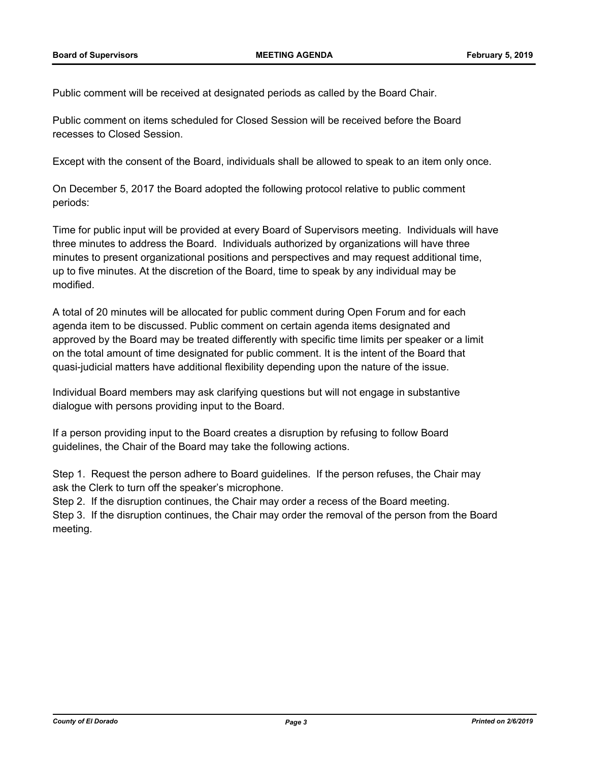Public comment will be received at designated periods as called by the Board Chair.

Public comment on items scheduled for Closed Session will be received before the Board recesses to Closed Session.

Except with the consent of the Board, individuals shall be allowed to speak to an item only once.

On December 5, 2017 the Board adopted the following protocol relative to public comment periods:

Time for public input will be provided at every Board of Supervisors meeting. Individuals will have three minutes to address the Board. Individuals authorized by organizations will have three minutes to present organizational positions and perspectives and may request additional time, up to five minutes. At the discretion of the Board, time to speak by any individual may be modified.

A total of 20 minutes will be allocated for public comment during Open Forum and for each agenda item to be discussed. Public comment on certain agenda items designated and approved by the Board may be treated differently with specific time limits per speaker or a limit on the total amount of time designated for public comment. It is the intent of the Board that quasi-judicial matters have additional flexibility depending upon the nature of the issue.

Individual Board members may ask clarifying questions but will not engage in substantive dialogue with persons providing input to the Board.

If a person providing input to the Board creates a disruption by refusing to follow Board guidelines, the Chair of the Board may take the following actions.

Step 1. Request the person adhere to Board guidelines. If the person refuses, the Chair may ask the Clerk to turn off the speaker's microphone.

Step 2. If the disruption continues, the Chair may order a recess of the Board meeting.

Step 3. If the disruption continues, the Chair may order the removal of the person from the Board meeting.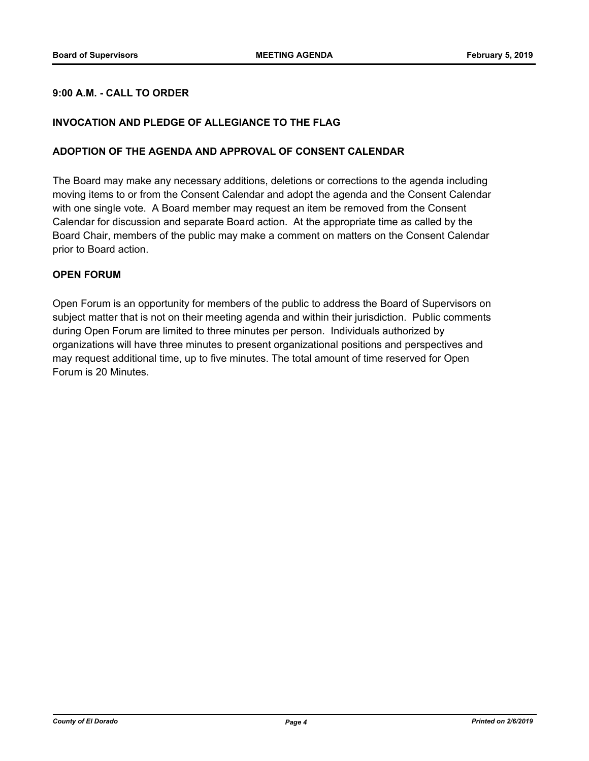#### **9:00 A.M. - CALL TO ORDER**

#### **INVOCATION AND PLEDGE OF ALLEGIANCE TO THE FLAG**

#### **ADOPTION OF THE AGENDA AND APPROVAL OF CONSENT CALENDAR**

The Board may make any necessary additions, deletions or corrections to the agenda including moving items to or from the Consent Calendar and adopt the agenda and the Consent Calendar with one single vote. A Board member may request an item be removed from the Consent Calendar for discussion and separate Board action. At the appropriate time as called by the Board Chair, members of the public may make a comment on matters on the Consent Calendar prior to Board action.

#### **OPEN FORUM**

Open Forum is an opportunity for members of the public to address the Board of Supervisors on subject matter that is not on their meeting agenda and within their jurisdiction. Public comments during Open Forum are limited to three minutes per person. Individuals authorized by organizations will have three minutes to present organizational positions and perspectives and may request additional time, up to five minutes. The total amount of time reserved for Open Forum is 20 Minutes.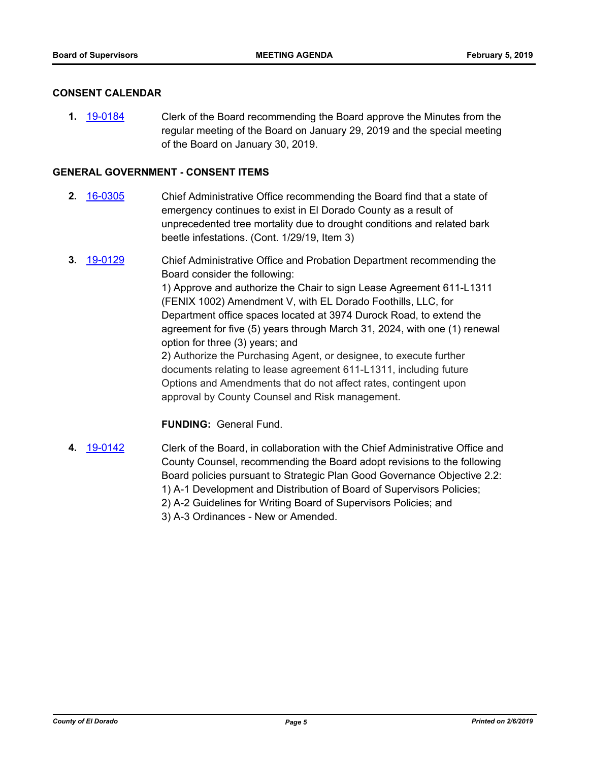#### **CONSENT CALENDAR**

**1.** [19-0184](http://eldorado.legistar.com/gateway.aspx?m=l&id=/matter.aspx?key=25504) Clerk of the Board recommending the Board approve the Minutes from the regular meeting of the Board on January 29, 2019 and the special meeting of the Board on January 30, 2019.

#### **GENERAL GOVERNMENT - CONSENT ITEMS**

- **2.** [16-0305](http://eldorado.legistar.com/gateway.aspx?m=l&id=/matter.aspx?key=20961) Chief Administrative Office recommending the Board find that a state of emergency continues to exist in El Dorado County as a result of unprecedented tree mortality due to drought conditions and related bark beetle infestations. (Cont. 1/29/19, Item 3)
- **3.** [19-0129](http://eldorado.legistar.com/gateway.aspx?m=l&id=/matter.aspx?key=25450) Chief Administrative Office and Probation Department recommending the Board consider the following: 1) Approve and authorize the Chair to sign Lease Agreement 611-L1311 (FENIX 1002) Amendment V, with EL Dorado Foothills, LLC, for Department office spaces located at 3974 Durock Road, to extend the agreement for five (5) years through March 31, 2024, with one (1) renewal option for three (3) years; and 2) Authorize the Purchasing Agent, or designee, to execute further documents relating to lease agreement 611-L1311, including future Options and Amendments that do not affect rates, contingent upon approval by County Counsel and Risk management.

#### **FUNDING:** General Fund.

**4.** [19-0142](http://eldorado.legistar.com/gateway.aspx?m=l&id=/matter.aspx?key=25462) Clerk of the Board, in collaboration with the Chief Administrative Office and County Counsel, recommending the Board adopt revisions to the following Board policies pursuant to Strategic Plan Good Governance Objective 2.2: 1) A-1 Development and Distribution of Board of Supervisors Policies; 2) A-2 Guidelines for Writing Board of Supervisors Policies; and 3) A-3 Ordinances - New or Amended.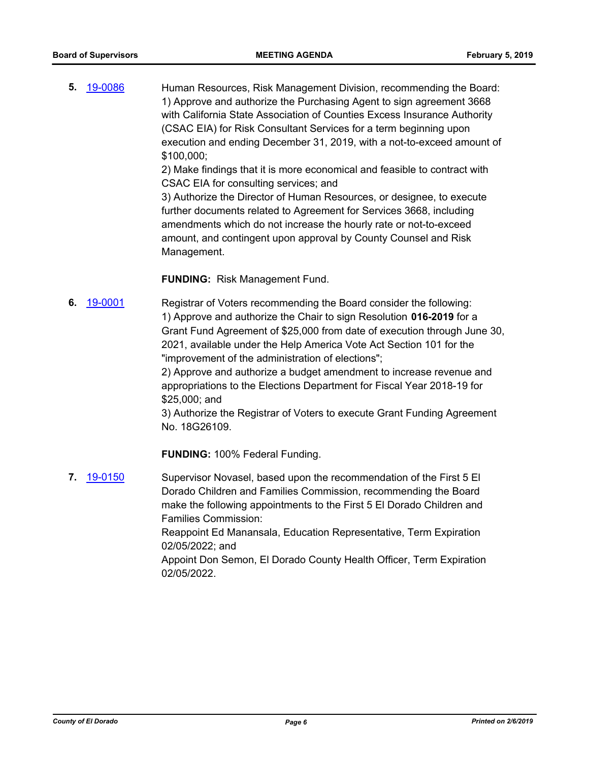**5.** [19-0086](http://eldorado.legistar.com/gateway.aspx?m=l&id=/matter.aspx?key=25407) Human Resources, Risk Management Division, recommending the Board: 1) Approve and authorize the Purchasing Agent to sign agreement 3668 with California State Association of Counties Excess Insurance Authority (CSAC EIA) for Risk Consultant Services for a term beginning upon execution and ending December 31, 2019, with a not-to-exceed amount of \$100,000;

> 2) Make findings that it is more economical and feasible to contract with CSAC EIA for consulting services; and

> 3) Authorize the Director of Human Resources, or designee, to execute further documents related to Agreement for Services 3668, including amendments which do not increase the hourly rate or not-to-exceed amount, and contingent upon approval by County Counsel and Risk Management.

**FUNDING:** Risk Management Fund.

**6.** [19-0001](http://eldorado.legistar.com/gateway.aspx?m=l&id=/matter.aspx?key=25322) Registrar of Voters recommending the Board consider the following: 1) Approve and authorize the Chair to sign Resolution **016-2019** for a Grant Fund Agreement of \$25,000 from date of execution through June 30, 2021, available under the Help America Vote Act Section 101 for the "improvement of the administration of elections";

2) Approve and authorize a budget amendment to increase revenue and appropriations to the Elections Department for Fiscal Year 2018-19 for \$25,000; and

3) Authorize the Registrar of Voters to execute Grant Funding Agreement No. 18G26109.

**FUNDING:** 100% Federal Funding.

**7.** [19-0150](http://eldorado.legistar.com/gateway.aspx?m=l&id=/matter.aspx?key=25470) Supervisor Novasel, based upon the recommendation of the First 5 El Dorado Children and Families Commission, recommending the Board make the following appointments to the First 5 El Dorado Children and Families Commission: Reappoint Ed Manansala, Education Representative, Term Expiration 02/05/2022; and Appoint Don Semon, El Dorado County Health Officer, Term Expiration 02/05/2022.

*County of El Dorado Page 6 Printed on 2/6/2019*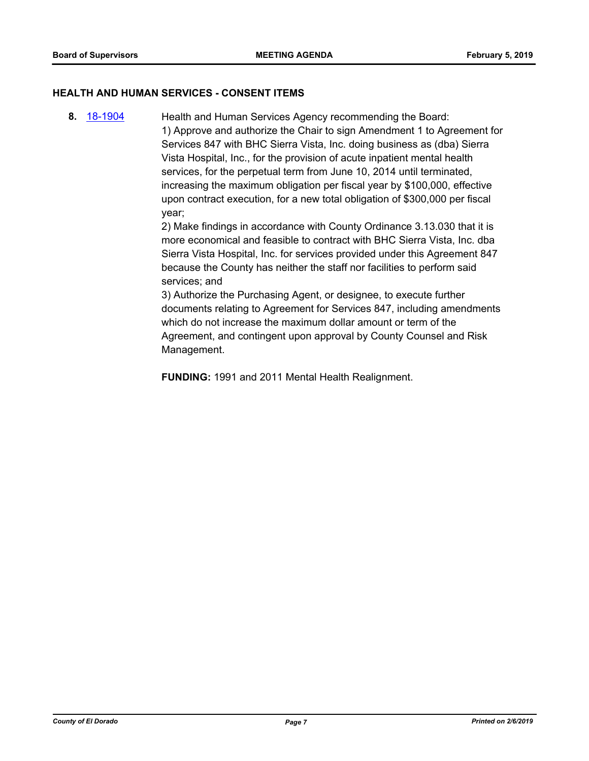#### **HEALTH AND HUMAN SERVICES - CONSENT ITEMS**

**8.** [18-1904](http://eldorado.legistar.com/gateway.aspx?m=l&id=/matter.aspx?key=25254) Health and Human Services Agency recommending the Board: 1) Approve and authorize the Chair to sign Amendment 1 to Agreement for Services 847 with BHC Sierra Vista, Inc. doing business as (dba) Sierra Vista Hospital, Inc., for the provision of acute inpatient mental health services, for the perpetual term from June 10, 2014 until terminated, increasing the maximum obligation per fiscal year by \$100,000, effective upon contract execution, for a new total obligation of \$300,000 per fiscal year;

> 2) Make findings in accordance with County Ordinance 3.13.030 that it is more economical and feasible to contract with BHC Sierra Vista, Inc. dba Sierra Vista Hospital, Inc. for services provided under this Agreement 847 because the County has neither the staff nor facilities to perform said services; and

> 3) Authorize the Purchasing Agent, or designee, to execute further documents relating to Agreement for Services 847, including amendments which do not increase the maximum dollar amount or term of the Agreement, and contingent upon approval by County Counsel and Risk Management.

**FUNDING:** 1991 and 2011 Mental Health Realignment.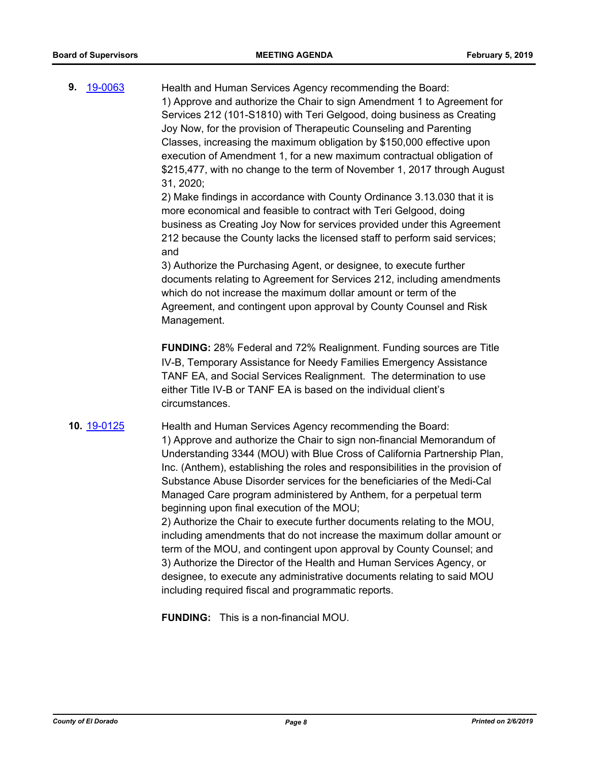**9.** [19-0063](http://eldorado.legistar.com/gateway.aspx?m=l&id=/matter.aspx?key=25384) Health and Human Services Agency recommending the Board: 1) Approve and authorize the Chair to sign Amendment 1 to Agreement for Services 212 (101-S1810) with Teri Gelgood, doing business as Creating Joy Now, for the provision of Therapeutic Counseling and Parenting Classes, increasing the maximum obligation by \$150,000 effective upon execution of Amendment 1, for a new maximum contractual obligation of \$215,477, with no change to the term of November 1, 2017 through August 31, 2020; 2) Make findings in accordance with County Ordinance 3.13.030 that it is more economical and feasible to contract with Teri Gelgood, doing business as Creating Joy Now for services provided under this Agreement 212 because the County lacks the licensed staff to perform said services; and 3) Authorize the Purchasing Agent, or designee, to execute further documents relating to Agreement for Services 212, including amendments which do not increase the maximum dollar amount or term of the Agreement, and contingent upon approval by County Counsel and Risk Management. **FUNDING:** 28% Federal and 72% Realignment. Funding sources are Title IV-B, Temporary Assistance for Needy Families Emergency Assistance TANF EA, and Social Services Realignment. The determination to use either Title IV-B or TANF EA is based on the individual client's circumstances. **10.** [19-0125](http://eldorado.legistar.com/gateway.aspx?m=l&id=/matter.aspx?key=25446) Health and Human Services Agency recommending the Board: 1) Approve and authorize the Chair to sign non-financial Memorandum of Understanding 3344 (MOU) with Blue Cross of California Partnership Plan, Inc. (Anthem), establishing the roles and responsibilities in the provision of Substance Abuse Disorder services for the beneficiaries of the Medi-Cal Managed Care program administered by Anthem, for a perpetual term beginning upon final execution of the MOU; 2) Authorize the Chair to execute further documents relating to the MOU, including amendments that do not increase the maximum dollar amount or term of the MOU, and contingent upon approval by County Counsel; and 3) Authorize the Director of the Health and Human Services Agency, or designee, to execute any administrative documents relating to said MOU including required fiscal and programmatic reports.

**FUNDING:** This is a non-financial MOU.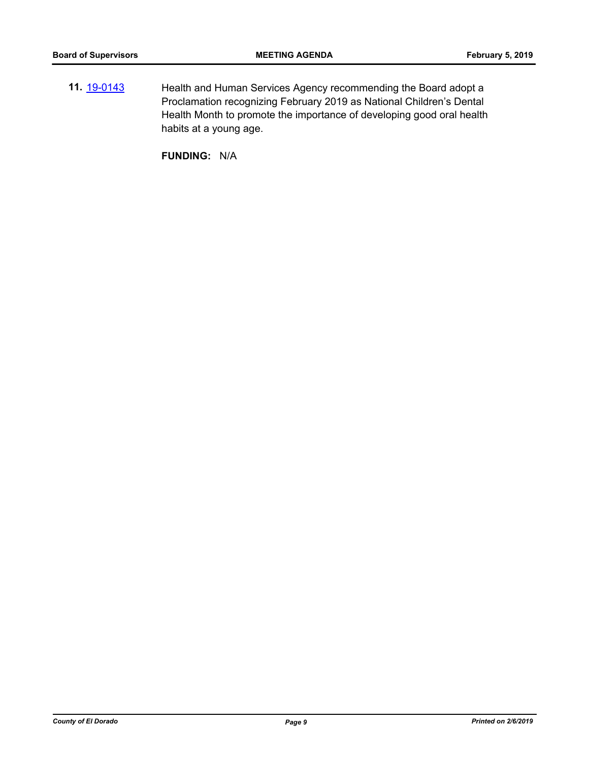**11.** [19-0143](http://eldorado.legistar.com/gateway.aspx?m=l&id=/matter.aspx?key=25463) Health and Human Services Agency recommending the Board adopt a Proclamation recognizing February 2019 as National Children's Dental Health Month to promote the importance of developing good oral health habits at a young age.

**FUNDING:** N/A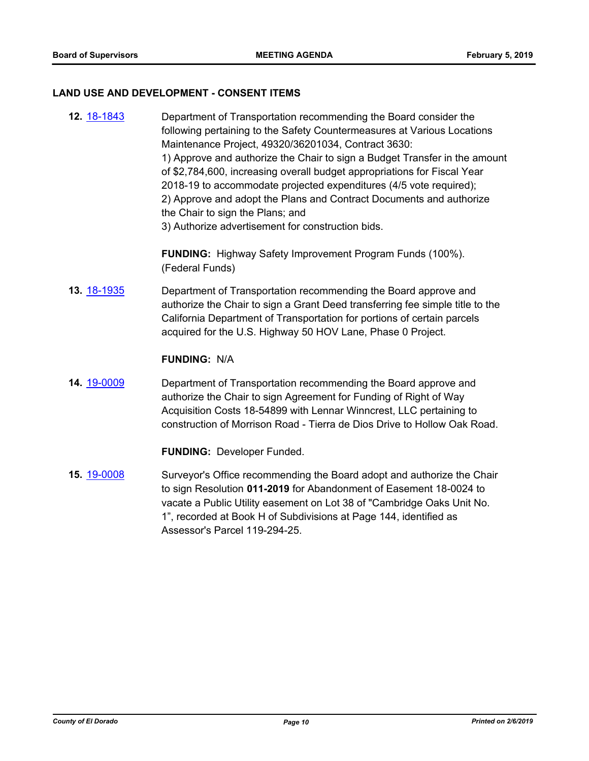#### **LAND USE AND DEVELOPMENT - CONSENT ITEMS**

**12.** [18-1843](http://eldorado.legistar.com/gateway.aspx?m=l&id=/matter.aspx?key=25193) Department of Transportation recommending the Board consider the following pertaining to the Safety Countermeasures at Various Locations Maintenance Project, 49320/36201034, Contract 3630: 1) Approve and authorize the Chair to sign a Budget Transfer in the amount of \$2,784,600, increasing overall budget appropriations for Fiscal Year 2018-19 to accommodate projected expenditures (4/5 vote required); 2) Approve and adopt the Plans and Contract Documents and authorize the Chair to sign the Plans; and 3) Authorize advertisement for construction bids.

> **FUNDING:** Highway Safety Improvement Program Funds (100%). (Federal Funds)

**13.** [18-1935](http://eldorado.legistar.com/gateway.aspx?m=l&id=/matter.aspx?key=25285) Department of Transportation recommending the Board approve and authorize the Chair to sign a Grant Deed transferring fee simple title to the California Department of Transportation for portions of certain parcels acquired for the U.S. Highway 50 HOV Lane, Phase 0 Project.

#### **FUNDING:** N/A

**14.** [19-0009](http://eldorado.legistar.com/gateway.aspx?m=l&id=/matter.aspx?key=25330) Department of Transportation recommending the Board approve and authorize the Chair to sign Agreement for Funding of Right of Way Acquisition Costs 18-54899 with Lennar Winncrest, LLC pertaining to construction of Morrison Road - Tierra de Dios Drive to Hollow Oak Road.

**FUNDING:** Developer Funded.

**15.** [19-0008](http://eldorado.legistar.com/gateway.aspx?m=l&id=/matter.aspx?key=25329) Surveyor's Office recommending the Board adopt and authorize the Chair to sign Resolution **011-2019** for Abandonment of Easement 18-0024 to vacate a Public Utility easement on Lot 38 of "Cambridge Oaks Unit No. 1", recorded at Book H of Subdivisions at Page 144, identified as Assessor's Parcel 119-294-25.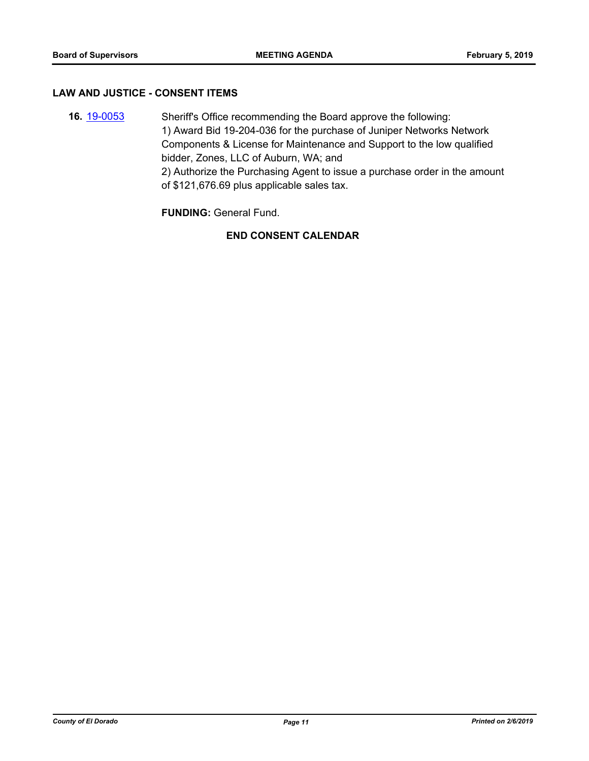#### **LAW AND JUSTICE - CONSENT ITEMS**

**16.** [19-0053](http://eldorado.legistar.com/gateway.aspx?m=l&id=/matter.aspx?key=25374) Sheriff's Office recommending the Board approve the following: 1) Award Bid 19-204-036 for the purchase of Juniper Networks Network Components & License for Maintenance and Support to the low qualified bidder, Zones, LLC of Auburn, WA; and 2) Authorize the Purchasing Agent to issue a purchase order in the amount of \$121,676.69 plus applicable sales tax.

**FUNDING:** General Fund.

## **END CONSENT CALENDAR**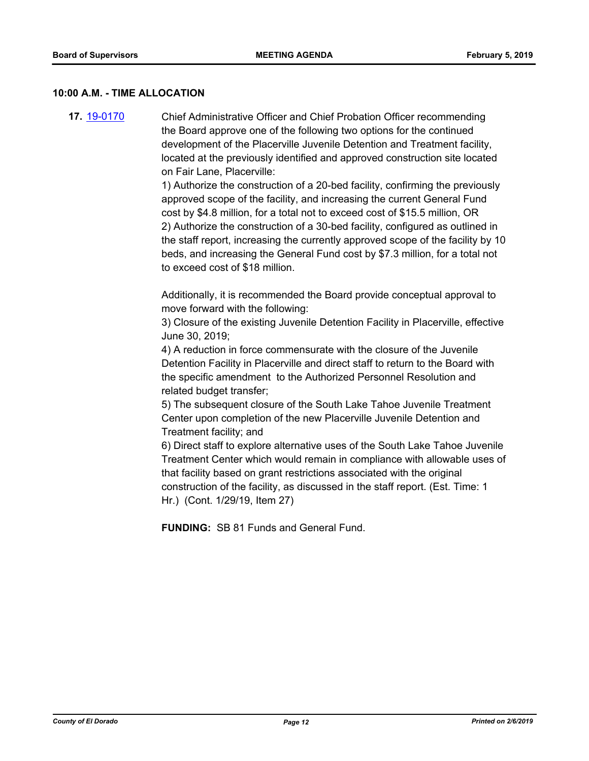#### **10:00 A.M. - TIME ALLOCATION**

**17.** [19-0170](http://eldorado.legistar.com/gateway.aspx?m=l&id=/matter.aspx?key=25490) Chief Administrative Officer and Chief Probation Officer recommending the Board approve one of the following two options for the continued development of the Placerville Juvenile Detention and Treatment facility, located at the previously identified and approved construction site located on Fair Lane, Placerville:

> 1) Authorize the construction of a 20-bed facility, confirming the previously approved scope of the facility, and increasing the current General Fund cost by \$4.8 million, for a total not to exceed cost of \$15.5 million, OR 2) Authorize the construction of a 30-bed facility, configured as outlined in the staff report, increasing the currently approved scope of the facility by 10 beds, and increasing the General Fund cost by \$7.3 million, for a total not to exceed cost of \$18 million.

Additionally, it is recommended the Board provide conceptual approval to move forward with the following:

3) Closure of the existing Juvenile Detention Facility in Placerville, effective June 30, 2019;

4) A reduction in force commensurate with the closure of the Juvenile Detention Facility in Placerville and direct staff to return to the Board with the specific amendment to the Authorized Personnel Resolution and related budget transfer;

5) The subsequent closure of the South Lake Tahoe Juvenile Treatment Center upon completion of the new Placerville Juvenile Detention and Treatment facility; and

6) Direct staff to explore alternative uses of the South Lake Tahoe Juvenile Treatment Center which would remain in compliance with allowable uses of that facility based on grant restrictions associated with the original construction of the facility, as discussed in the staff report. (Est. Time: 1 Hr.) (Cont. 1/29/19, Item 27)

**FUNDING:** SB 81 Funds and General Fund.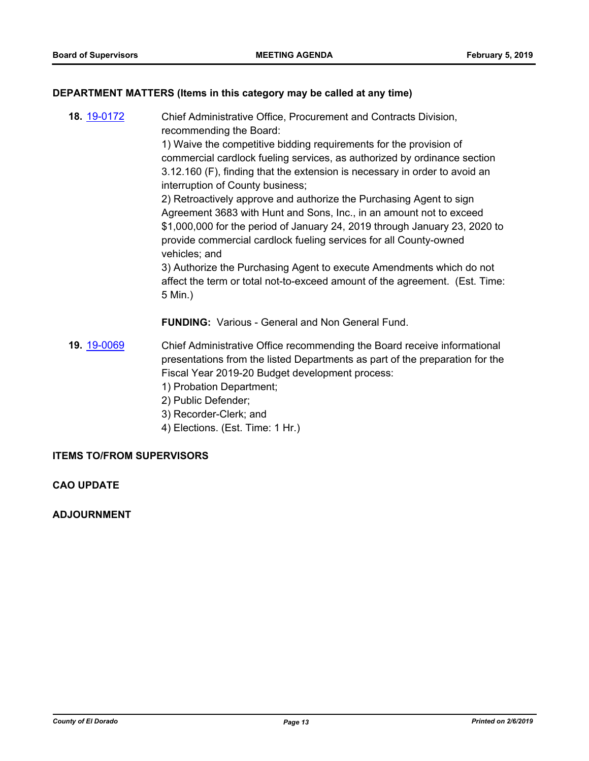#### **DEPARTMENT MATTERS (Items in this category may be called at any time)**

**18.** [19-0172](http://eldorado.legistar.com/gateway.aspx?m=l&id=/matter.aspx?key=25492) Chief Administrative Office, Procurement and Contracts Division, recommending the Board: 1) Waive the competitive bidding requirements for the provision of commercial cardlock fueling services, as authorized by ordinance section 3.12.160 (F), finding that the extension is necessary in order to avoid an interruption of County business; 2) Retroactively approve and authorize the Purchasing Agent to sign Agreement 3683 with Hunt and Sons, Inc., in an amount not to exceed \$1,000,000 for the period of January 24, 2019 through January 23, 2020 to provide commercial cardlock fueling services for all County-owned vehicles; and 3) Authorize the Purchasing Agent to execute Amendments which do not

affect the term or total not-to-exceed amount of the agreement. (Est. Time: 5 Min.)

**FUNDING:** Various - General and Non General Fund.

- **19.** [19-0069](http://eldorado.legistar.com/gateway.aspx?m=l&id=/matter.aspx?key=25390) Chief Administrative Office recommending the Board receive informational presentations from the listed Departments as part of the preparation for the Fiscal Year 2019-20 Budget development process:
	- 1) Probation Department;
	- 2) Public Defender;
	- 3) Recorder-Clerk; and
	- 4) Elections. (Est. Time: 1 Hr.)

#### **ITEMS TO/FROM SUPERVISORS**

#### **CAO UPDATE**

#### **ADJOURNMENT**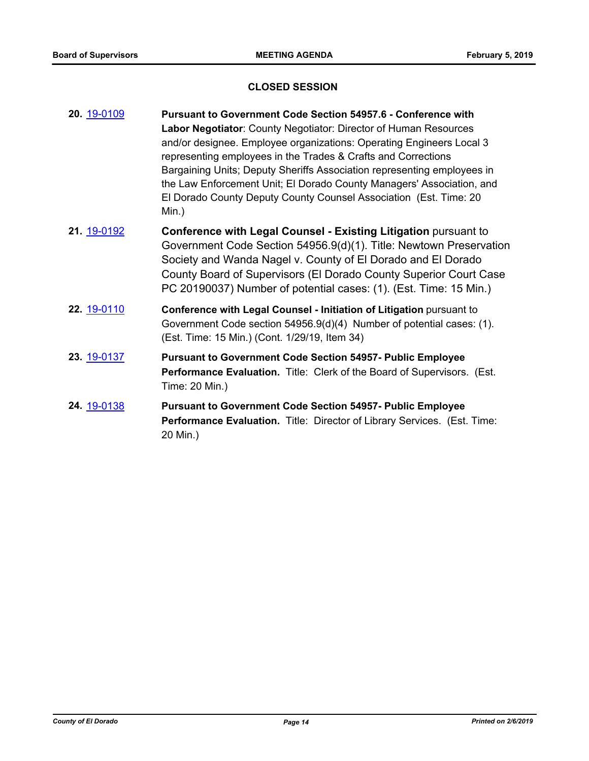## **CLOSED SESSION**

| 20. 19-0109        | <b>Pursuant to Government Code Section 54957.6 - Conference with</b>                                                                                                                                  |  |
|--------------------|-------------------------------------------------------------------------------------------------------------------------------------------------------------------------------------------------------|--|
|                    | Labor Negotiator: County Negotiator: Director of Human Resources                                                                                                                                      |  |
|                    | and/or designee. Employee organizations: Operating Engineers Local 3                                                                                                                                  |  |
|                    | representing employees in the Trades & Crafts and Corrections                                                                                                                                         |  |
|                    | Bargaining Units; Deputy Sheriffs Association representing employees in<br>the Law Enforcement Unit; El Dorado County Managers' Association, and                                                      |  |
|                    | El Dorado County Deputy County Counsel Association (Est. Time: 20                                                                                                                                     |  |
|                    | Min.)                                                                                                                                                                                                 |  |
| 21. 19-0192        | Conference with Legal Counsel - Existing Litigation pursuant to<br>Government Code Section 54956.9(d)(1). Title: Newtown Preservation<br>Society and Wanda Nagel v. County of El Dorado and El Dorado |  |
|                    | County Board of Supervisors (El Dorado County Superior Court Case<br>PC 20190037) Number of potential cases: (1). (Est. Time: 15 Min.)                                                                |  |
| 22. 19-0110        | Conference with Legal Counsel - Initiation of Litigation pursuant to<br>Government Code section 54956.9(d)(4) Number of potential cases: (1).<br>(Est. Time: 15 Min.) (Cont. 1/29/19, Item 34)        |  |
| 23. 19-0137        | <b>Pursuant to Government Code Section 54957- Public Employee</b><br>Performance Evaluation. Title: Clerk of the Board of Supervisors. (Est.<br>Time: 20 Min.)                                        |  |
| <b>24.</b> 19-0138 | <b>Pursuant to Government Code Section 54957- Public Employee</b><br>Performance Evaluation. Title: Director of Library Services. (Est. Time:                                                         |  |

20 Min.)